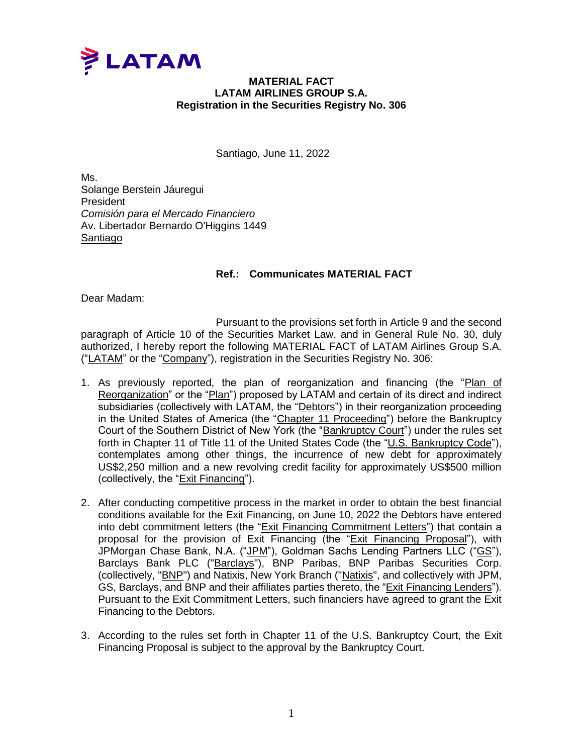

## **MATERIAL FACT LATAM AIRLINES GROUP S.A. Registration in the Securities Registry No. 306**

Santiago, June 11, 2022

Ms. Solange Berstein Jáuregui President *Comisión para el Mercado Financiero* Av. Libertador Bernardo O'Higgins 1449 Santiago

## **Ref.: Communicates MATERIAL FACT**

Dear Madam:

Pursuant to the provisions set forth in Article 9 and the second paragraph of Article 10 of the Securities Market Law, and in General Rule No. 30, duly authorized, I hereby report the following MATERIAL FACT of LATAM Airlines Group S.A. ("LATAM" or the "Company"), registration in the Securities Registry No. 306:

- 1. As previously reported, the plan of reorganization and financing (the "Plan of Reorganization" or the "Plan") proposed by LATAM and certain of its direct and indirect subsidiaries (collectively with LATAM, the "Debtors") in their reorganization proceeding in the United States of America (the "Chapter 11 Proceeding") before the Bankruptcy Court of the Southern District of New York (the "Bankruptcy Court") under the rules set forth in Chapter 11 of Title 11 of the United States Code (the "U.S. Bankruptcy Code"), contemplates among other things, the incurrence of new debt for approximately US\$2,250 million and a new revolving credit facility for approximately US\$500 million (collectively, the "Exit Financing").
- 2. After conducting competitive process in the market in order to obtain the best financial conditions available for the Exit Financing, on June 10, 2022 the Debtors have entered into debt commitment letters (the "Exit Financing Commitment Letters") that contain a proposal for the provision of Exit Financing (the "Exit Financing Proposal"), with JPMorgan Chase Bank, N.A. ("JPM"), Goldman Sachs Lending Partners LLC ("GS"), Barclays Bank PLC ("Barclays"), BNP Paribas, BNP Paribas Securities Corp. (collectively, "BNP") and Natixis, New York Branch ("Natixis", and collectively with JPM, GS, Barclays, and BNP and their affiliates parties thereto, the "Exit Financing Lenders"). Pursuant to the Exit Commitment Letters, such financiers have agreed to grant the Exit Financing to the Debtors.
- 3. According to the rules set forth in Chapter 11 of the U.S. Bankruptcy Court, the Exit Financing Proposal is subject to the approval by the Bankruptcy Court.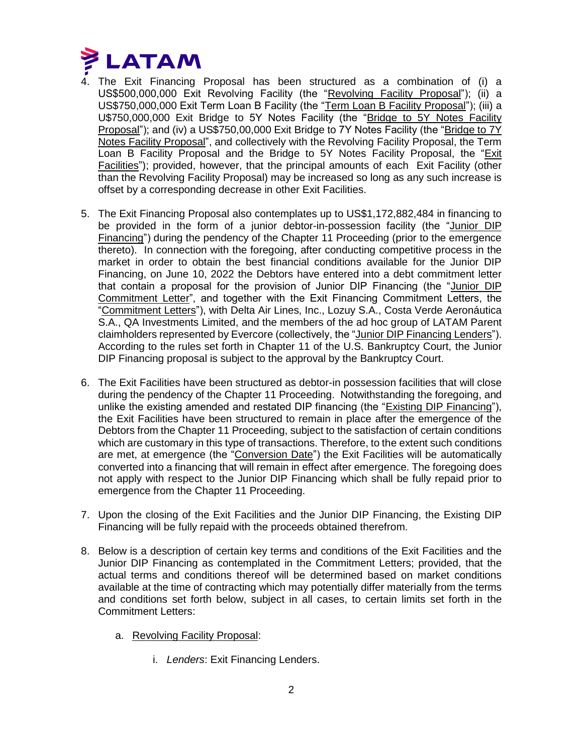

- 4. The Exit Financing Proposal has been structured as a combination of (i) a US\$500,000,000 Exit Revolving Facility (the "Revolving Facility Proposal"); (ii) a US\$750,000,000 Exit Term Loan B Facility (the "Term Loan B Facility Proposal"); (iii) a U\$750,000,000 Exit Bridge to 5Y Notes Facility (the "Bridge to 5Y Notes Facility Proposal"); and (iv) a US\$750,00,000 Exit Bridge to 7Y Notes Facility (the "Bridge to 7Y Notes Facility Proposal", and collectively with the Revolving Facility Proposal, the Term Loan B Facility Proposal and the Bridge to 5Y Notes Facility Proposal, the "Exit Facilities"); provided, however, that the principal amounts of each Exit Facility (other than the Revolving Facility Proposal) may be increased so long as any such increase is offset by a corresponding decrease in other Exit Facilities.
- 5. The Exit Financing Proposal also contemplates up to US\$1,172,882,484 in financing to be provided in the form of a junior debtor-in-possession facility (the "Junior DIP Financing") during the pendency of the Chapter 11 Proceeding (prior to the emergence thereto). In connection with the foregoing, after conducting competitive process in the market in order to obtain the best financial conditions available for the Junior DIP Financing, on June 10, 2022 the Debtors have entered into a debt commitment letter that contain a proposal for the provision of Junior DIP Financing (the "Junior DIP Commitment Letter", and together with the Exit Financing Commitment Letters, the "Commitment Letters"), with Delta Air Lines, Inc., Lozuy S.A., Costa Verde Aeronáutica S.A., QA Investments Limited, and the members of the ad hoc group of LATAM Parent claimholders represented by Evercore (collectively, the "Junior DIP Financing Lenders"). According to the rules set forth in Chapter 11 of the U.S. Bankruptcy Court, the Junior DIP Financing proposal is subject to the approval by the Bankruptcy Court.
- 6. The Exit Facilities have been structured as debtor-in possession facilities that will close during the pendency of the Chapter 11 Proceeding. Notwithstanding the foregoing, and unlike the existing amended and restated DIP financing (the "Existing DIP Financing"), the Exit Facilities have been structured to remain in place after the emergence of the Debtors from the Chapter 11 Proceeding, subject to the satisfaction of certain conditions which are customary in this type of transactions. Therefore, to the extent such conditions are met, at emergence (the "Conversion Date") the Exit Facilities will be automatically converted into a financing that will remain in effect after emergence. The foregoing does not apply with respect to the Junior DIP Financing which shall be fully repaid prior to emergence from the Chapter 11 Proceeding.
- 7. Upon the closing of the Exit Facilities and the Junior DIP Financing, the Existing DIP Financing will be fully repaid with the proceeds obtained therefrom.
- 8. Below is a description of certain key terms and conditions of the Exit Facilities and the Junior DIP Financing as contemplated in the Commitment Letters; provided, that the actual terms and conditions thereof will be determined based on market conditions available at the time of contracting which may potentially differ materially from the terms and conditions set forth below, subject in all cases, to certain limits set forth in the Commitment Letters:
	- a. Revolving Facility Proposal:
		- i. *Lenders*: Exit Financing Lenders.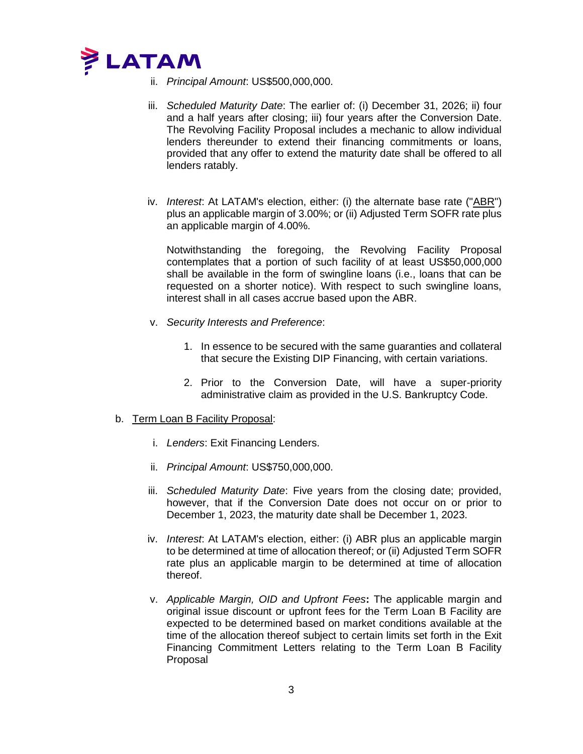

- ii. *Principal Amount*: US\$500,000,000.
- iii. *Scheduled Maturity Date*: The earlier of: (i) December 31, 2026; ii) four and a half years after closing; iii) four years after the Conversion Date. The Revolving Facility Proposal includes a mechanic to allow individual lenders thereunder to extend their financing commitments or loans, provided that any offer to extend the maturity date shall be offered to all lenders ratably.
- iv. *Interest*: At LATAM's election, either: (i) the alternate base rate ("ABR") plus an applicable margin of 3.00%; or (ii) Adjusted Term SOFR rate plus an applicable margin of 4.00%.

Notwithstanding the foregoing, the Revolving Facility Proposal contemplates that a portion of such facility of at least US\$50,000,000 shall be available in the form of swingline loans (i.e., loans that can be requested on a shorter notice). With respect to such swingline loans, interest shall in all cases accrue based upon the ABR.

- v. *Security Interests and Preference*:
	- 1. In essence to be secured with the same guaranties and collateral that secure the Existing DIP Financing, with certain variations.
	- 2. Prior to the Conversion Date, will have a super-priority administrative claim as provided in the U.S. Bankruptcy Code.

## b. Term Loan B Facility Proposal:

- i. *Lenders*: Exit Financing Lenders.
- ii. *Principal Amount*: US\$750,000,000.
- iii. *Scheduled Maturity Date*: Five years from the closing date; provided, however, that if the Conversion Date does not occur on or prior to December 1, 2023, the maturity date shall be December 1, 2023.
- iv. *Interest*: At LATAM's election, either: (i) ABR plus an applicable margin to be determined at time of allocation thereof; or (ii) Adjusted Term SOFR rate plus an applicable margin to be determined at time of allocation thereof.
- v. *Applicable Margin, OID and Upfront Fees***:** The applicable margin and original issue discount or upfront fees for the Term Loan B Facility are expected to be determined based on market conditions available at the time of the allocation thereof subject to certain limits set forth in the Exit Financing Commitment Letters relating to the Term Loan B Facility Proposal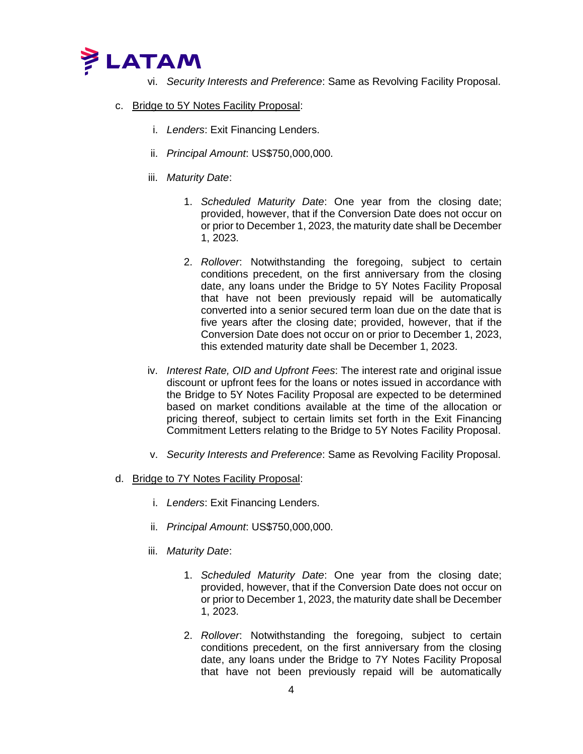

- vi. *Security Interests and Preference*: Same as Revolving Facility Proposal.
- c. Bridge to 5Y Notes Facility Proposal:
	- i. *Lenders*: Exit Financing Lenders.
	- ii. *Principal Amount*: US\$750,000,000.
	- iii. *Maturity Date*:
		- 1. *Scheduled Maturity Date*: One year from the closing date; provided, however, that if the Conversion Date does not occur on or prior to December 1, 2023, the maturity date shall be December 1, 2023.
		- 2. *Rollover*: Notwithstanding the foregoing, subject to certain conditions precedent, on the first anniversary from the closing date, any loans under the Bridge to 5Y Notes Facility Proposal that have not been previously repaid will be automatically converted into a senior secured term loan due on the date that is five years after the closing date; provided, however, that if the Conversion Date does not occur on or prior to December 1, 2023, this extended maturity date shall be December 1, 2023.
	- iv. *Interest Rate, OID and Upfront Fees*: The interest rate and original issue discount or upfront fees for the loans or notes issued in accordance with the Bridge to 5Y Notes Facility Proposal are expected to be determined based on market conditions available at the time of the allocation or pricing thereof, subject to certain limits set forth in the Exit Financing Commitment Letters relating to the Bridge to 5Y Notes Facility Proposal.
	- v. *Security Interests and Preference*: Same as Revolving Facility Proposal.
- d. Bridge to 7Y Notes Facility Proposal:
	- i. *Lenders*: Exit Financing Lenders.
	- ii. *Principal Amount*: US\$750,000,000.
	- iii. *Maturity Date*:
		- 1. *Scheduled Maturity Date*: One year from the closing date; provided, however, that if the Conversion Date does not occur on or prior to December 1, 2023, the maturity date shall be December 1, 2023.
		- 2. *Rollover*: Notwithstanding the foregoing, subject to certain conditions precedent, on the first anniversary from the closing date, any loans under the Bridge to 7Y Notes Facility Proposal that have not been previously repaid will be automatically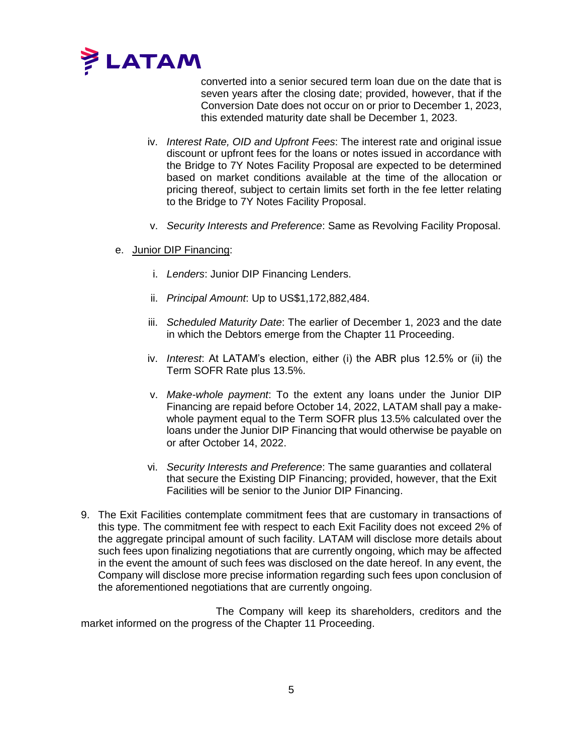

converted into a senior secured term loan due on the date that is seven years after the closing date; provided, however, that if the Conversion Date does not occur on or prior to December 1, 2023, this extended maturity date shall be December 1, 2023.

- iv. *Interest Rate, OID and Upfront Fees*: The interest rate and original issue discount or upfront fees for the loans or notes issued in accordance with the Bridge to 7Y Notes Facility Proposal are expected to be determined based on market conditions available at the time of the allocation or pricing thereof, subject to certain limits set forth in the fee letter relating to the Bridge to 7Y Notes Facility Proposal.
- v. *Security Interests and Preference*: Same as Revolving Facility Proposal.
- e. Junior DIP Financing:
	- i. *Lenders*: Junior DIP Financing Lenders.
	- ii. *Principal Amount*: Up to US\$1,172,882,484.
	- iii. *Scheduled Maturity Date*: The earlier of December 1, 2023 and the date in which the Debtors emerge from the Chapter 11 Proceeding.
	- iv. *Interest*: At LATAM's election, either (i) the ABR plus 12.5% or (ii) the Term SOFR Rate plus 13.5%.
	- v. *Make-whole payment*: To the extent any loans under the Junior DIP Financing are repaid before October 14, 2022, LATAM shall pay a makewhole payment equal to the Term SOFR plus 13.5% calculated over the loans under the Junior DIP Financing that would otherwise be payable on or after October 14, 2022.
	- vi. *Security Interests and Preference*: The same guaranties and collateral that secure the Existing DIP Financing; provided, however, that the Exit Facilities will be senior to the Junior DIP Financing.
- 9. The Exit Facilities contemplate commitment fees that are customary in transactions of this type. The commitment fee with respect to each Exit Facility does not exceed 2% of the aggregate principal amount of such facility. LATAM will disclose more details about such fees upon finalizing negotiations that are currently ongoing, which may be affected in the event the amount of such fees was disclosed on the date hereof. In any event, the Company will disclose more precise information regarding such fees upon conclusion of the aforementioned negotiations that are currently ongoing.

The Company will keep its shareholders, creditors and the market informed on the progress of the Chapter 11 Proceeding.